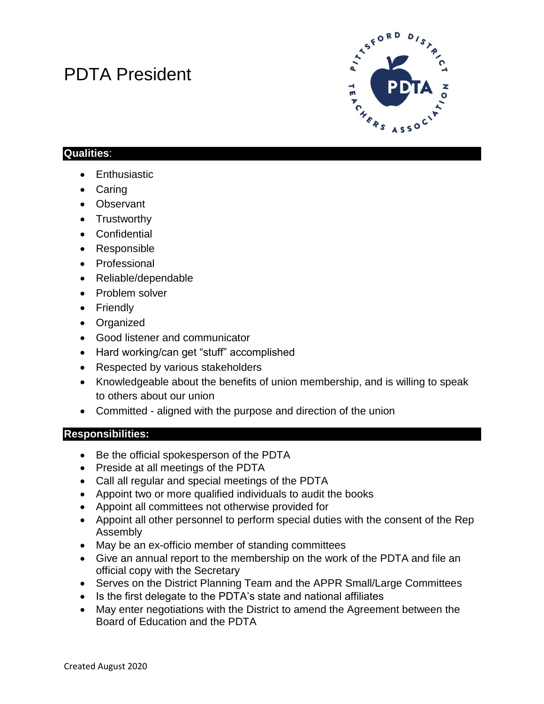# PDTA President



## **Qualities**:

- Enthusiastic
- Caring
- Observant
- Trustworthy
- Confidential
- Responsible
- Professional
- Reliable/dependable
- Problem solver
- Friendly
- Organized
- Good listener and communicator
- Hard working/can get "stuff" accomplished
- Respected by various stakeholders
- Knowledgeable about the benefits of union membership, and is willing to speak to others about our union
- Committed aligned with the purpose and direction of the union

#### **Responsibilities:**

- Be the official spokesperson of the PDTA
- Preside at all meetings of the PDTA
- Call all regular and special meetings of the PDTA
- Appoint two or more qualified individuals to audit the books
- Appoint all committees not otherwise provided for
- Appoint all other personnel to perform special duties with the consent of the Rep Assembly
- May be an ex-officio member of standing committees
- Give an annual report to the membership on the work of the PDTA and file an official copy with the Secretary
- Serves on the District Planning Team and the APPR Small/Large Committees
- Is the first delegate to the PDTA's state and national affiliates
- May enter negotiations with the District to amend the Agreement between the Board of Education and the PDTA